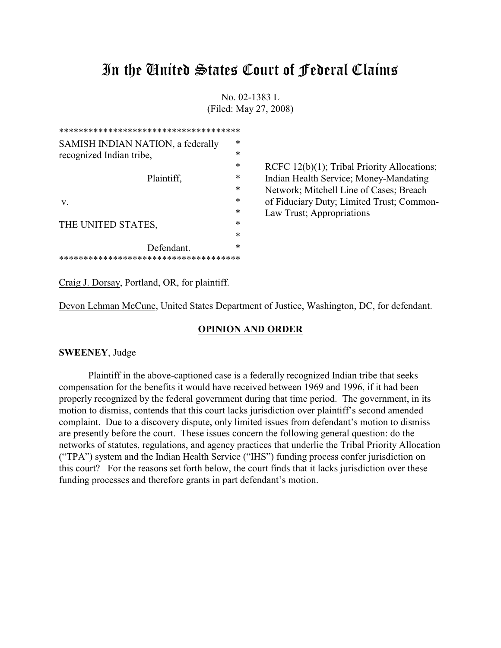# In the United States Court of Federal Claims

No. 02-1383 L (Filed: May 27, 2008)

| ************************************** |        |                                             |
|----------------------------------------|--------|---------------------------------------------|
| SAMISH INDIAN NATION, a federally      | *      |                                             |
| recognized Indian tribe,               | $\ast$ |                                             |
| Plaintiff,                             | $\ast$ | RCFC 12(b)(1); Tribal Priority Allocations; |
|                                        | ∗      | Indian Health Service; Money-Mandating      |
|                                        | $\ast$ | Network; Mitchell Line of Cases; Breach     |
| V.                                     | *      | of Fiduciary Duty; Limited Trust; Common-   |
|                                        | *      | Law Trust; Appropriations                   |
| THE UNITED STATES,                     | $\ast$ |                                             |
|                                        | $\ast$ |                                             |
| Defendant.                             | ∗      |                                             |
| ******************************         |        |                                             |

Craig J. Dorsay, Portland, OR, for plaintiff.

Devon Lehman McCune, United States Department of Justice, Washington, DC, for defendant.

## **OPINION AND ORDER**

# **SWEENEY**, Judge

Plaintiff in the above-captioned case is a federally recognized Indian tribe that seeks compensation for the benefits it would have received between 1969 and 1996, if it had been properly recognized by the federal government during that time period. The government, in its motion to dismiss, contends that this court lacks jurisdiction over plaintiff's second amended complaint. Due to a discovery dispute, only limited issues from defendant's motion to dismiss are presently before the court. These issues concern the following general question: do the networks of statutes, regulations, and agency practices that underlie the Tribal Priority Allocation ("TPA") system and the Indian Health Service ("IHS") funding process confer jurisdiction on this court? For the reasons set forth below, the court finds that it lacks jurisdiction over these funding processes and therefore grants in part defendant's motion.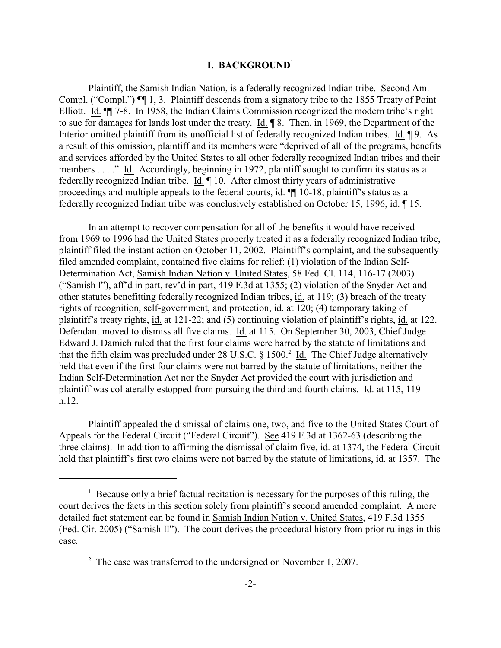#### **I. BACKGROUND**<sup>1</sup>

Plaintiff, the Samish Indian Nation, is a federally recognized Indian tribe. Second Am. Compl. ("Compl.") ¶¶ 1, 3. Plaintiff descends from a signatory tribe to the 1855 Treaty of Point Elliott. Id. ¶¶ 7-8. In 1958, the Indian Claims Commission recognized the modern tribe's right to sue for damages for lands lost under the treaty. Id. ¶ 8. Then, in 1969, the Department of the Interior omitted plaintiff from its unofficial list of federally recognized Indian tribes. Id. ¶ 9. As a result of this omission, plaintiff and its members were "deprived of all of the programs, benefits and services afforded by the United States to all other federally recognized Indian tribes and their members . . . ." Id. Accordingly, beginning in 1972, plaintiff sought to confirm its status as a federally recognized Indian tribe. Id. ¶ 10. After almost thirty years of administrative proceedings and multiple appeals to the federal courts, id. ¶¶ 10-18, plaintiff's status as a federally recognized Indian tribe was conclusively established on October 15, 1996, id. ¶ 15.

In an attempt to recover compensation for all of the benefits it would have received from 1969 to 1996 had the United States properly treated it as a federally recognized Indian tribe, plaintiff filed the instant action on October 11, 2002. Plaintiff's complaint, and the subsequently filed amended complaint, contained five claims for relief: (1) violation of the Indian Self-Determination Act, Samish Indian Nation v. United States, 58 Fed. Cl. 114, 116-17 (2003) ("Samish I"), aff'd in part, rev'd in part, 419 F.3d at 1355; (2) violation of the Snyder Act and other statutes benefitting federally recognized Indian tribes, id. at 119; (3) breach of the treaty rights of recognition, self-government, and protection, id. at 120; (4) temporary taking of plaintiff's treaty rights, id. at 121-22; and (5) continuing violation of plaintiff's rights, id. at 122. Defendant moved to dismiss all five claims. Id. at 115. On September 30, 2003, Chief Judge Edward J. Damich ruled that the first four claims were barred by the statute of limitations and that the fifth claim was precluded under 28 U.S.C.  $\S$  1500.<sup>2</sup> Id. The Chief Judge alternatively held that even if the first four claims were not barred by the statute of limitations, neither the Indian Self-Determination Act nor the Snyder Act provided the court with jurisdiction and plaintiff was collaterally estopped from pursuing the third and fourth claims. Id. at 115, 119 n.12.

Plaintiff appealed the dismissal of claims one, two, and five to the United States Court of Appeals for the Federal Circuit ("Federal Circuit"). See 419 F.3d at 1362-63 (describing the three claims). In addition to affirming the dismissal of claim five, id. at 1374, the Federal Circuit held that plaintiff's first two claims were not barred by the statute of limitations, id. at 1357. The

 $1$  Because only a brief factual recitation is necessary for the purposes of this ruling, the court derives the facts in this section solely from plaintiff's second amended complaint. A more detailed fact statement can be found in Samish Indian Nation v. United States, 419 F.3d 1355 (Fed. Cir. 2005) ("Samish II"). The court derives the procedural history from prior rulings in this case.

 $\degree$  The case was transferred to the undersigned on November 1, 2007.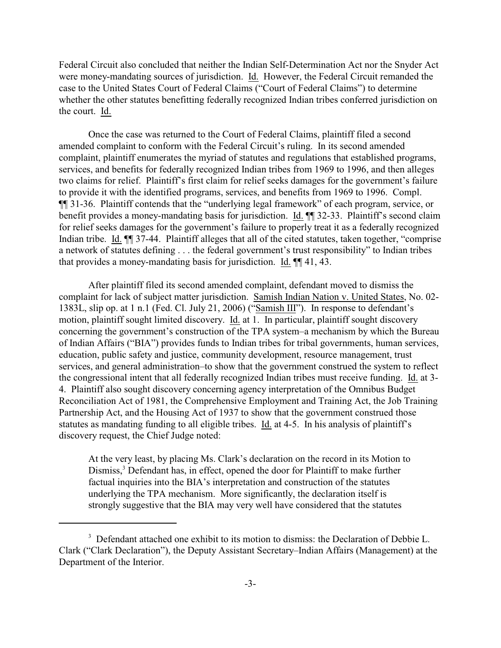Federal Circuit also concluded that neither the Indian Self-Determination Act nor the Snyder Act were money-mandating sources of jurisdiction. Id. However, the Federal Circuit remanded the case to the United States Court of Federal Claims ("Court of Federal Claims") to determine whether the other statutes benefitting federally recognized Indian tribes conferred jurisdiction on the court. Id.

Once the case was returned to the Court of Federal Claims, plaintiff filed a second amended complaint to conform with the Federal Circuit's ruling. In its second amended complaint, plaintiff enumerates the myriad of statutes and regulations that established programs, services, and benefits for federally recognized Indian tribes from 1969 to 1996, and then alleges two claims for relief. Plaintiff's first claim for relief seeks damages for the government's failure to provide it with the identified programs, services, and benefits from 1969 to 1996. Compl. ¶¶ 31-36. Plaintiff contends that the "underlying legal framework" of each program, service, or benefit provides a money-mandating basis for jurisdiction. Id. ¶¶ 32-33. Plaintiff's second claim for relief seeks damages for the government's failure to properly treat it as a federally recognized Indian tribe. Id.  $\P$  37-44. Plaintiff alleges that all of the cited statutes, taken together, "comprise a network of statutes defining . . . the federal government's trust responsibility" to Indian tribes that provides a money-mandating basis for jurisdiction. Id. ¶¶ 41, 43.

After plaintiff filed its second amended complaint, defendant moved to dismiss the complaint for lack of subject matter jurisdiction. Samish Indian Nation v. United States, No. 02- 1383L, slip op. at 1 n.1 (Fed. Cl. July 21, 2006) ("Samish III"). In response to defendant's motion, plaintiff sought limited discovery. Id. at 1. In particular, plaintiff sought discovery concerning the government's construction of the TPA system–a mechanism by which the Bureau of Indian Affairs ("BIA") provides funds to Indian tribes for tribal governments, human services, education, public safety and justice, community development, resource management, trust services, and general administration–to show that the government construed the system to reflect the congressional intent that all federally recognized Indian tribes must receive funding. Id. at 3- 4. Plaintiff also sought discovery concerning agency interpretation of the Omnibus Budget Reconciliation Act of 1981, the Comprehensive Employment and Training Act, the Job Training Partnership Act, and the Housing Act of 1937 to show that the government construed those statutes as mandating funding to all eligible tribes. Id. at 4-5. In his analysis of plaintiff's discovery request, the Chief Judge noted:

At the very least, by placing Ms. Clark's declaration on the record in its Motion to Dismiss,<sup>3</sup> Defendant has, in effect, opened the door for Plaintiff to make further factual inquiries into the BIA's interpretation and construction of the statutes underlying the TPA mechanism. More significantly, the declaration itself is strongly suggestive that the BIA may very well have considered that the statutes

<sup>&</sup>lt;sup>3</sup> Defendant attached one exhibit to its motion to dismiss: the Declaration of Debbie L. Clark ("Clark Declaration"), the Deputy Assistant Secretary–Indian Affairs (Management) at the Department of the Interior.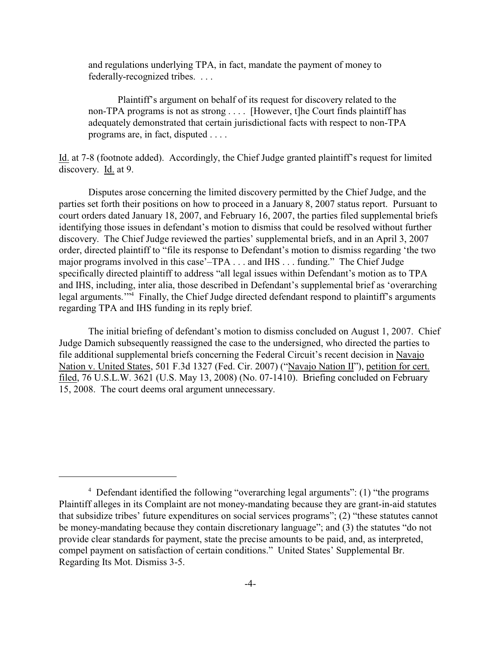and regulations underlying TPA, in fact, mandate the payment of money to federally-recognized tribes. . . .

Plaintiff's argument on behalf of its request for discovery related to the non-TPA programs is not as strong . . . . [However, t]he Court finds plaintiff has adequately demonstrated that certain jurisdictional facts with respect to non-TPA programs are, in fact, disputed . . . .

Id. at 7-8 (footnote added). Accordingly, the Chief Judge granted plaintiff's request for limited discovery. Id. at 9.

Disputes arose concerning the limited discovery permitted by the Chief Judge, and the parties set forth their positions on how to proceed in a January 8, 2007 status report. Pursuant to court orders dated January 18, 2007, and February 16, 2007, the parties filed supplemental briefs identifying those issues in defendant's motion to dismiss that could be resolved without further discovery. The Chief Judge reviewed the parties' supplemental briefs, and in an April 3, 2007 order, directed plaintiff to "file its response to Defendant's motion to dismiss regarding 'the two major programs involved in this case'–TPA . . . and IHS . . . funding." The Chief Judge specifically directed plaintiff to address "all legal issues within Defendant's motion as to TPA and IHS, including, inter alia, those described in Defendant's supplemental brief as 'overarching legal arguments."<sup>4</sup> Finally, the Chief Judge directed defendant respond to plaintiff's arguments regarding TPA and IHS funding in its reply brief.

The initial briefing of defendant's motion to dismiss concluded on August 1, 2007. Chief Judge Damich subsequently reassigned the case to the undersigned, who directed the parties to file additional supplemental briefs concerning the Federal Circuit's recent decision in Navajo Nation v. United States, 501 F.3d 1327 (Fed. Cir. 2007) ("Navajo Nation II"), petition for cert. filed, 76 U.S.L.W. 3621 (U.S. May 13, 2008) (No. 07-1410). Briefing concluded on February 15, 2008. The court deems oral argument unnecessary.

 $4$  Defendant identified the following "overarching legal arguments": (1) "the programs Plaintiff alleges in its Complaint are not money-mandating because they are grant-in-aid statutes that subsidize tribes' future expenditures on social services programs"; (2) "these statutes cannot be money-mandating because they contain discretionary language"; and (3) the statutes "do not provide clear standards for payment, state the precise amounts to be paid, and, as interpreted, compel payment on satisfaction of certain conditions." United States' Supplemental Br. Regarding Its Mot. Dismiss 3-5.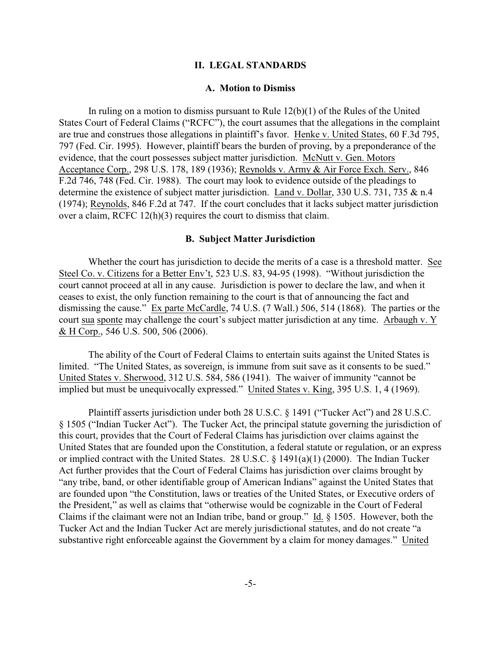#### **II. LEGAL STANDARDS**

#### **A. Motion to Dismiss**

In ruling on a motion to dismiss pursuant to Rule 12(b)(1) of the Rules of the United States Court of Federal Claims ("RCFC"), the court assumes that the allegations in the complaint are true and construes those allegations in plaintiff's favor. Henke v. United States, 60 F.3d 795, 797 (Fed. Cir. 1995). However, plaintiff bears the burden of proving, by a preponderance of the evidence, that the court possesses subject matter jurisdiction. McNutt v. Gen. Motors Acceptance Corp., 298 U.S. 178, 189 (1936); Reynolds v. Army & Air Force Exch. Serv., 846 F.2d 746, 748 (Fed. Cir. 1988). The court may look to evidence outside of the pleadings to determine the existence of subject matter jurisdiction. Land v. Dollar, 330 U.S. 731, 735 & n.4 (1974); Reynolds, 846 F.2d at 747. If the court concludes that it lacks subject matter jurisdiction over a claim, RCFC 12(h)(3) requires the court to dismiss that claim.

#### **B. Subject Matter Jurisdiction**

Whether the court has jurisdiction to decide the merits of a case is a threshold matter. See Steel Co. v. Citizens for a Better Env't, 523 U.S. 83, 94-95 (1998). "Without jurisdiction the court cannot proceed at all in any cause. Jurisdiction is power to declare the law, and when it ceases to exist, the only function remaining to the court is that of announcing the fact and dismissing the cause." Ex parte McCardle, 74 U.S. (7 Wall.) 506, 514 (1868). The parties or the court sua sponte may challenge the court's subject matter jurisdiction at any time. Arbaugh v. Y & H Corp., 546 U.S. 500, 506 (2006).

The ability of the Court of Federal Claims to entertain suits against the United States is limited. "The United States, as sovereign, is immune from suit save as it consents to be sued." United States v. Sherwood, 312 U.S. 584, 586 (1941). The waiver of immunity "cannot be implied but must be unequivocally expressed." United States v. King, 395 U.S. 1, 4 (1969).

Plaintiff asserts jurisdiction under both 28 U.S.C. § 1491 ("Tucker Act") and 28 U.S.C. § 1505 ("Indian Tucker Act"). The Tucker Act, the principal statute governing the jurisdiction of this court, provides that the Court of Federal Claims has jurisdiction over claims against the United States that are founded upon the Constitution, a federal statute or regulation, or an express or implied contract with the United States. 28 U.S.C. § 1491(a)(1) (2000). The Indian Tucker Act further provides that the Court of Federal Claims has jurisdiction over claims brought by "any tribe, band, or other identifiable group of American Indians" against the United States that are founded upon "the Constitution, laws or treaties of the United States, or Executive orders of the President," as well as claims that "otherwise would be cognizable in the Court of Federal Claims if the claimant were not an Indian tribe, band or group." Id. § 1505. However, both the Tucker Act and the Indian Tucker Act are merely jurisdictional statutes, and do not create "a substantive right enforceable against the Government by a claim for money damages." United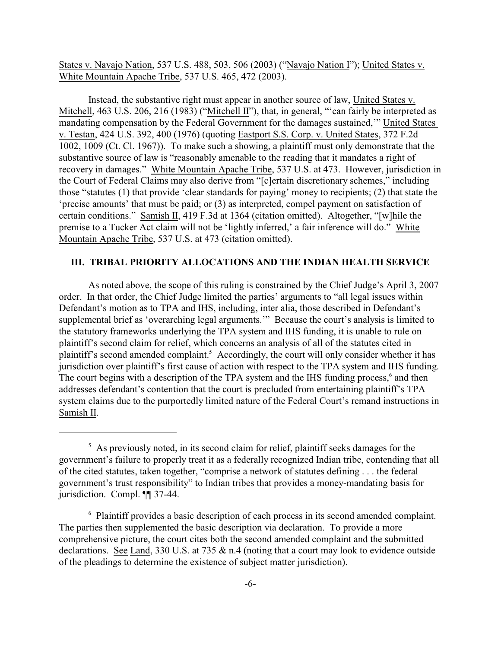States v. Navajo Nation, 537 U.S. 488, 503, 506 (2003) ("Navajo Nation I"); United States v. White Mountain Apache Tribe, 537 U.S. 465, 472 (2003).

Instead, the substantive right must appear in another source of law, United States v. Mitchell, 463 U.S. 206, 216 (1983) ("Mitchell II"), that, in general, "'can fairly be interpreted as mandating compensation by the Federal Government for the damages sustained,'" United States v. Testan, 424 U.S. 392, 400 (1976) (quoting Eastport S.S. Corp. v. United States, 372 F.2d 1002, 1009 (Ct. Cl. 1967)). To make such a showing, a plaintiff must only demonstrate that the substantive source of law is "reasonably amenable to the reading that it mandates a right of recovery in damages." White Mountain Apache Tribe, 537 U.S. at 473. However, jurisdiction in the Court of Federal Claims may also derive from "[c]ertain discretionary schemes," including those "statutes (1) that provide 'clear standards for paying' money to recipients; (2) that state the 'precise amounts' that must be paid; or (3) as interpreted, compel payment on satisfaction of certain conditions." Samish II, 419 F.3d at 1364 (citation omitted). Altogether, "[w]hile the premise to a Tucker Act claim will not be 'lightly inferred,' a fair inference will do." White Mountain Apache Tribe, 537 U.S. at 473 (citation omitted).

# **III. TRIBAL PRIORITY ALLOCATIONS AND THE INDIAN HEALTH SERVICE**

As noted above, the scope of this ruling is constrained by the Chief Judge's April 3, 2007 order. In that order, the Chief Judge limited the parties' arguments to "all legal issues within Defendant's motion as to TPA and IHS, including, inter alia, those described in Defendant's supplemental brief as 'overarching legal arguments.'" Because the court's analysis is limited to the statutory frameworks underlying the TPA system and IHS funding, it is unable to rule on plaintiff's second claim for relief, which concerns an analysis of all of the statutes cited in plaintiff's second amended complaint.<sup>5</sup> Accordingly, the court will only consider whether it has jurisdiction over plaintiff's first cause of action with respect to the TPA system and IHS funding. The court begins with a description of the TPA system and the IHS funding process, $\delta$  and then addresses defendant's contention that the court is precluded from entertaining plaintiff's TPA system claims due to the purportedly limited nature of the Federal Court's remand instructions in Samish II.

 $<sup>5</sup>$  As previously noted, in its second claim for relief, plaintiff seeks damages for the</sup> government's failure to properly treat it as a federally recognized Indian tribe, contending that all of the cited statutes, taken together, "comprise a network of statutes defining . . . the federal government's trust responsibility" to Indian tribes that provides a money-mandating basis for jurisdiction. Compl. ¶¶ 37-44.

 $6$  Plaintiff provides a basic description of each process in its second amended complaint. The parties then supplemented the basic description via declaration. To provide a more comprehensive picture, the court cites both the second amended complaint and the submitted declarations. See Land, 330 U.S. at 735 & n.4 (noting that a court may look to evidence outside of the pleadings to determine the existence of subject matter jurisdiction).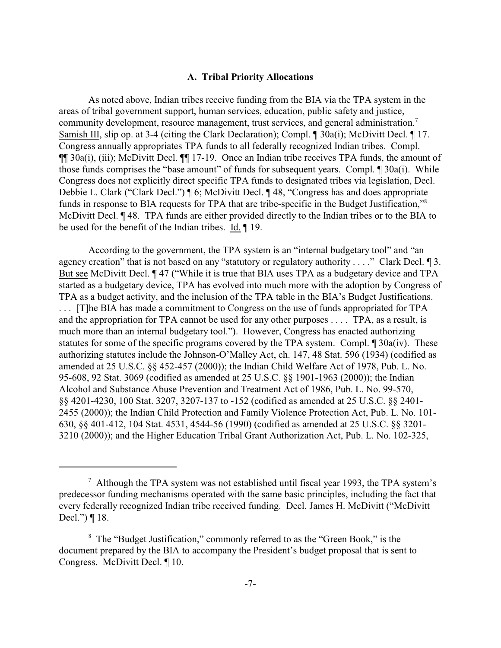### **A. Tribal Priority Allocations**

As noted above, Indian tribes receive funding from the BIA via the TPA system in the areas of tribal government support, human services, education, public safety and justice, community development, resource management, trust services, and general administration.<sup>7</sup> Samish III, slip op. at 3-4 (citing the Clark Declaration); Compl. ¶ 30a(i); McDivitt Decl. ¶ 17. Congress annually appropriates TPA funds to all federally recognized Indian tribes. Compl. ¶¶ 30a(i), (iii); McDivitt Decl. ¶¶ 17-19. Once an Indian tribe receives TPA funds, the amount of those funds comprises the "base amount" of funds for subsequent years. Compl. ¶ 30a(i). While Congress does not explicitly direct specific TPA funds to designated tribes via legislation, Decl. Debbie L. Clark ("Clark Decl.") ¶ 6; McDivitt Decl. ¶ 48, "Congress has and does appropriate funds in response to BIA requests for TPA that are tribe-specific in the Budget Justification,"<sup>8</sup> McDivitt Decl. ¶ 48. TPA funds are either provided directly to the Indian tribes or to the BIA to be used for the benefit of the Indian tribes. Id. ¶ 19.

According to the government, the TPA system is an "internal budgetary tool" and "an agency creation" that is not based on any "statutory or regulatory authority . . . ." Clark Decl. ¶ 3. But see McDivitt Decl.  $\P$  47 ("While it is true that BIA uses TPA as a budgetary device and TPA started as a budgetary device, TPA has evolved into much more with the adoption by Congress of TPA as a budget activity, and the inclusion of the TPA table in the BIA's Budget Justifications. . . . [T]he BIA has made a commitment to Congress on the use of funds appropriated for TPA and the appropriation for TPA cannot be used for any other purposes . . . . TPA, as a result, is much more than an internal budgetary tool."). However, Congress has enacted authorizing statutes for some of the specific programs covered by the TPA system. Compl. ¶ 30a(iv). These authorizing statutes include the Johnson-O'Malley Act, ch. 147, 48 Stat. 596 (1934) (codified as amended at 25 U.S.C. §§ 452-457 (2000)); the Indian Child Welfare Act of 1978, Pub. L. No. 95-608, 92 Stat. 3069 (codified as amended at 25 U.S.C. §§ 1901-1963 (2000)); the Indian Alcohol and Substance Abuse Prevention and Treatment Act of 1986, Pub. L. No. 99-570, §§ 4201-4230, 100 Stat. 3207, 3207-137 to -152 (codified as amended at 25 U.S.C. §§ 2401- 2455 (2000)); the Indian Child Protection and Family Violence Protection Act, Pub. L. No. 101- 630, §§ 401-412, 104 Stat. 4531, 4544-56 (1990) (codified as amended at 25 U.S.C. §§ 3201- 3210 (2000)); and the Higher Education Tribal Grant Authorization Act, Pub. L. No. 102-325,

 $\alpha$ <sup>7</sup> Although the TPA system was not established until fiscal year 1993, the TPA system's predecessor funding mechanisms operated with the same basic principles, including the fact that every federally recognized Indian tribe received funding. Decl. James H. McDivitt ("McDivitt Decl.") ¶ 18.

<sup>&</sup>lt;sup>8</sup> The "Budget Justification," commonly referred to as the "Green Book," is the document prepared by the BIA to accompany the President's budget proposal that is sent to Congress. McDivitt Decl. ¶ 10.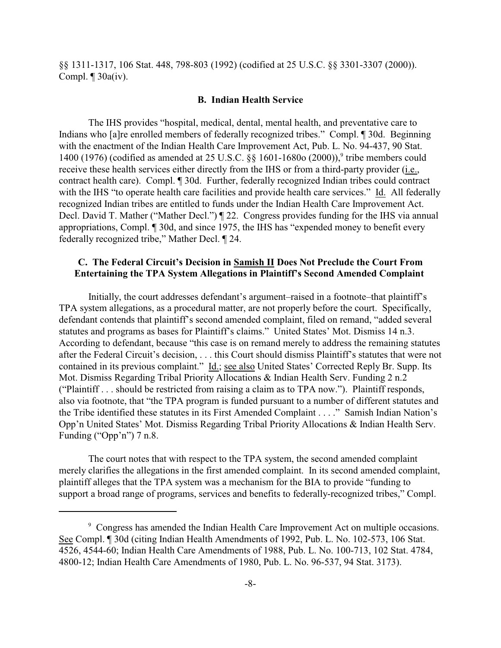§§ 1311-1317, 106 Stat. 448, 798-803 (1992) (codified at 25 U.S.C. §§ 3301-3307 (2000)). Compl.  $\P$  30a(iv).

#### **B. Indian Health Service**

The IHS provides "hospital, medical, dental, mental health, and preventative care to Indians who [a]re enrolled members of federally recognized tribes." Compl. ¶ 30d. Beginning with the enactment of the Indian Health Care Improvement Act, Pub. L. No. 94-437, 90 Stat. 1400 (1976) (codified as amended at 25 U.S.C. §§ 1601-1680o (2000)),<sup>9</sup> tribe members could receive these health services either directly from the IHS or from a third-party provider (i.e., contract health care). Compl. ¶ 30d. Further, federally recognized Indian tribes could contract with the IHS "to operate health care facilities and provide health care services." Id. All federally recognized Indian tribes are entitled to funds under the Indian Health Care Improvement Act. Decl. David T. Mather ("Mather Decl.") ¶ 22. Congress provides funding for the IHS via annual appropriations, Compl. ¶ 30d, and since 1975, the IHS has "expended money to benefit every federally recognized tribe," Mather Decl. ¶ 24.

# **C. The Federal Circuit's Decision in Samish II Does Not Preclude the Court From Entertaining the TPA System Allegations in Plaintiff's Second Amended Complaint**

Initially, the court addresses defendant's argument–raised in a footnote–that plaintiff's TPA system allegations, as a procedural matter, are not properly before the court. Specifically, defendant contends that plaintiff's second amended complaint, filed on remand, "added several statutes and programs as bases for Plaintiff's claims." United States' Mot. Dismiss 14 n.3. According to defendant, because "this case is on remand merely to address the remaining statutes after the Federal Circuit's decision, . . . this Court should dismiss Plaintiff's statutes that were not contained in its previous complaint." Id.; see also United States' Corrected Reply Br. Supp. Its Mot. Dismiss Regarding Tribal Priority Allocations & Indian Health Serv. Funding 2 n.2 ("Plaintiff . . . should be restricted from raising a claim as to TPA now."). Plaintiff responds, also via footnote, that "the TPA program is funded pursuant to a number of different statutes and the Tribe identified these statutes in its First Amended Complaint . . . ." Samish Indian Nation's Opp'n United States' Mot. Dismiss Regarding Tribal Priority Allocations & Indian Health Serv. Funding ("Opp'n") 7 n.8.

The court notes that with respect to the TPA system, the second amended complaint merely clarifies the allegations in the first amended complaint. In its second amended complaint, plaintiff alleges that the TPA system was a mechanism for the BIA to provide "funding to support a broad range of programs, services and benefits to federally-recognized tribes," Compl.

<sup>&</sup>lt;sup>9</sup> Congress has amended the Indian Health Care Improvement Act on multiple occasions. See Compl. ¶ 30d (citing Indian Health Amendments of 1992, Pub. L. No. 102-573, 106 Stat. 4526, 4544-60; Indian Health Care Amendments of 1988, Pub. L. No. 100-713, 102 Stat. 4784, 4800-12; Indian Health Care Amendments of 1980, Pub. L. No. 96-537, 94 Stat. 3173).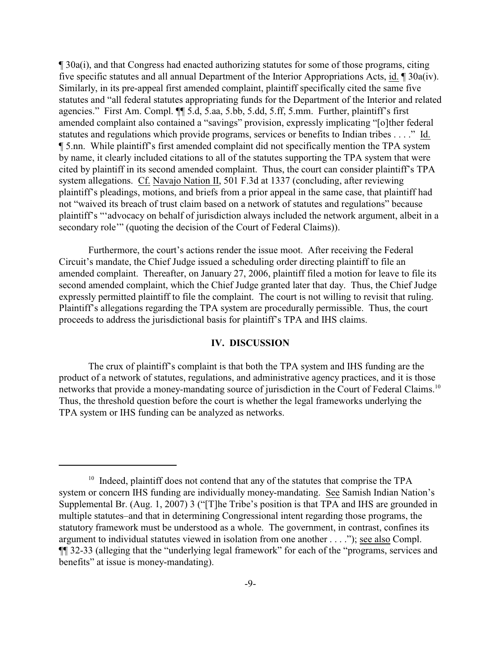¶ 30a(i), and that Congress had enacted authorizing statutes for some of those programs, citing five specific statutes and all annual Department of the Interior Appropriations Acts, id. ¶ 30a(iv). Similarly, in its pre-appeal first amended complaint, plaintiff specifically cited the same five statutes and "all federal statutes appropriating funds for the Department of the Interior and related agencies." First Am. Compl. ¶¶ 5.d, 5.aa, 5.bb, 5.dd, 5.ff, 5.mm. Further, plaintiff's first amended complaint also contained a "savings" provision, expressly implicating "[o]ther federal statutes and regulations which provide programs, services or benefits to Indian tribes . . . ." Id. ¶ 5.nn. While plaintiff's first amended complaint did not specifically mention the TPA system by name, it clearly included citations to all of the statutes supporting the TPA system that were cited by plaintiff in its second amended complaint. Thus, the court can consider plaintiff's TPA system allegations. Cf. Navajo Nation II, 501 F.3d at 1337 (concluding, after reviewing plaintiff's pleadings, motions, and briefs from a prior appeal in the same case, that plaintiff had not "waived its breach of trust claim based on a network of statutes and regulations" because plaintiff's "'advocacy on behalf of jurisdiction always included the network argument, albeit in a secondary role'" (quoting the decision of the Court of Federal Claims)).

Furthermore, the court's actions render the issue moot. After receiving the Federal Circuit's mandate, the Chief Judge issued a scheduling order directing plaintiff to file an amended complaint. Thereafter, on January 27, 2006, plaintiff filed a motion for leave to file its second amended complaint, which the Chief Judge granted later that day. Thus, the Chief Judge expressly permitted plaintiff to file the complaint. The court is not willing to revisit that ruling. Plaintiff's allegations regarding the TPA system are procedurally permissible. Thus, the court proceeds to address the jurisdictional basis for plaintiff's TPA and IHS claims.

# **IV. DISCUSSION**

The crux of plaintiff's complaint is that both the TPA system and IHS funding are the product of a network of statutes, regulations, and administrative agency practices, and it is those networks that provide a money-mandating source of jurisdiction in the Court of Federal Claims.<sup>10</sup> Thus, the threshold question before the court is whether the legal frameworks underlying the TPA system or IHS funding can be analyzed as networks.

 $10$  Indeed, plaintiff does not contend that any of the statutes that comprise the TPA system or concern IHS funding are individually money-mandating. See Samish Indian Nation's Supplemental Br. (Aug. 1, 2007) 3 ("[T]he Tribe's position is that TPA and IHS are grounded in multiple statutes–and that in determining Congressional intent regarding those programs, the statutory framework must be understood as a whole. The government, in contrast, confines its argument to individual statutes viewed in isolation from one another . . . ."); see also Compl. ¶¶ 32-33 (alleging that the "underlying legal framework" for each of the "programs, services and benefits" at issue is money-mandating).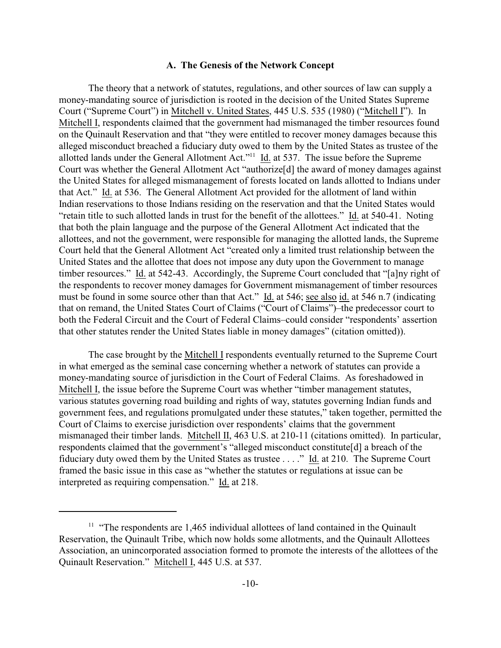## **A. The Genesis of the Network Concept**

The theory that a network of statutes, regulations, and other sources of law can supply a money-mandating source of jurisdiction is rooted in the decision of the United States Supreme Court ("Supreme Court") in Mitchell v. United States, 445 U.S. 535 (1980) ("Mitchell I"). In Mitchell I, respondents claimed that the government had mismanaged the timber resources found on the Quinault Reservation and that "they were entitled to recover money damages because this alleged misconduct breached a fiduciary duty owed to them by the United States as trustee of the allotted lands under the General Allotment Act."<sup>11</sup>  $\underline{Id}$  at 537. The issue before the Supreme Court was whether the General Allotment Act "authorize[d] the award of money damages against the United States for alleged mismanagement of forests located on lands allotted to Indians under that Act." Id. at 536. The General Allotment Act provided for the allotment of land within Indian reservations to those Indians residing on the reservation and that the United States would "retain title to such allotted lands in trust for the benefit of the allottees." Id. at 540-41. Noting that both the plain language and the purpose of the General Allotment Act indicated that the allottees, and not the government, were responsible for managing the allotted lands, the Supreme Court held that the General Allotment Act "created only a limited trust relationship between the United States and the allottee that does not impose any duty upon the Government to manage timber resources." Id. at 542-43. Accordingly, the Supreme Court concluded that "[a]ny right of the respondents to recover money damages for Government mismanagement of timber resources must be found in some source other than that Act." Id. at 546; see also id. at 546 n.7 (indicating that on remand, the United States Court of Claims ("Court of Claims")–the predecessor court to both the Federal Circuit and the Court of Federal Claims–could consider "respondents' assertion that other statutes render the United States liable in money damages" (citation omitted)).

The case brought by the Mitchell I respondents eventually returned to the Supreme Court in what emerged as the seminal case concerning whether a network of statutes can provide a money-mandating source of jurisdiction in the Court of Federal Claims. As foreshadowed in Mitchell I, the issue before the Supreme Court was whether "timber management statutes, various statutes governing road building and rights of way, statutes governing Indian funds and government fees, and regulations promulgated under these statutes," taken together, permitted the Court of Claims to exercise jurisdiction over respondents' claims that the government mismanaged their timber lands. Mitchell II, 463 U.S. at 210-11 (citations omitted). In particular, respondents claimed that the government's "alleged misconduct constitute[d] a breach of the fiduciary duty owed them by the United States as trustee . . . ." Id. at 210. The Supreme Court framed the basic issue in this case as "whether the statutes or regulations at issue can be interpreted as requiring compensation." Id. at 218.

 $11$  "The respondents are 1,465 individual allottees of land contained in the Quinault Reservation, the Quinault Tribe, which now holds some allotments, and the Quinault Allottees Association, an unincorporated association formed to promote the interests of the allottees of the Quinault Reservation." Mitchell I, 445 U.S. at 537.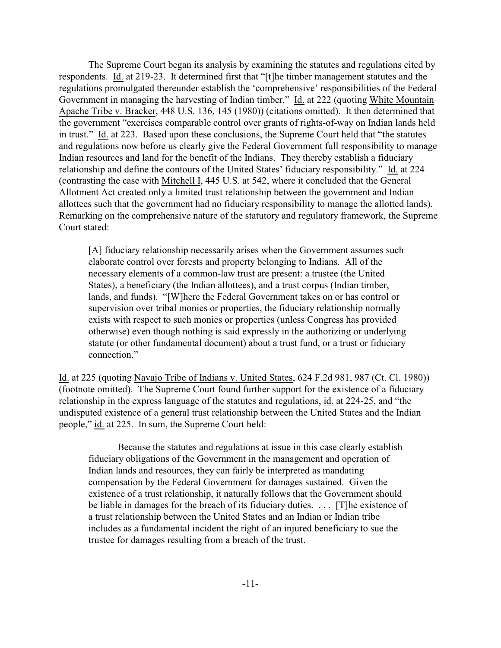The Supreme Court began its analysis by examining the statutes and regulations cited by respondents. Id. at 219-23. It determined first that "[t]he timber management statutes and the regulations promulgated thereunder establish the 'comprehensive' responsibilities of the Federal Government in managing the harvesting of Indian timber." Id. at 222 (quoting White Mountain Apache Tribe v. Bracker, 448 U.S. 136, 145 (1980)) (citations omitted). It then determined that the government "exercises comparable control over grants of rights-of-way on Indian lands held in trust." Id. at 223. Based upon these conclusions, the Supreme Court held that "the statutes and regulations now before us clearly give the Federal Government full responsibility to manage Indian resources and land for the benefit of the Indians. They thereby establish a fiduciary relationship and define the contours of the United States' fiduciary responsibility." Id. at 224 (contrasting the case with Mitchell I, 445 U.S. at 542, where it concluded that the General Allotment Act created only a limited trust relationship between the government and Indian allottees such that the government had no fiduciary responsibility to manage the allotted lands). Remarking on the comprehensive nature of the statutory and regulatory framework, the Supreme Court stated:

[A] fiduciary relationship necessarily arises when the Government assumes such elaborate control over forests and property belonging to Indians. All of the necessary elements of a common-law trust are present: a trustee (the United States), a beneficiary (the Indian allottees), and a trust corpus (Indian timber, lands, and funds). "[W]here the Federal Government takes on or has control or supervision over tribal monies or properties, the fiduciary relationship normally exists with respect to such monies or properties (unless Congress has provided otherwise) even though nothing is said expressly in the authorizing or underlying statute (or other fundamental document) about a trust fund, or a trust or fiduciary connection."

Id. at 225 (quoting Navajo Tribe of Indians v. United States, 624 F.2d 981, 987 (Ct. Cl. 1980)) (footnote omitted). The Supreme Court found further support for the existence of a fiduciary relationship in the express language of the statutes and regulations, id. at 224-25, and "the undisputed existence of a general trust relationship between the United States and the Indian people," id. at 225. In sum, the Supreme Court held:

Because the statutes and regulations at issue in this case clearly establish fiduciary obligations of the Government in the management and operation of Indian lands and resources, they can fairly be interpreted as mandating compensation by the Federal Government for damages sustained. Given the existence of a trust relationship, it naturally follows that the Government should be liable in damages for the breach of its fiduciary duties. . . . [T]he existence of a trust relationship between the United States and an Indian or Indian tribe includes as a fundamental incident the right of an injured beneficiary to sue the trustee for damages resulting from a breach of the trust.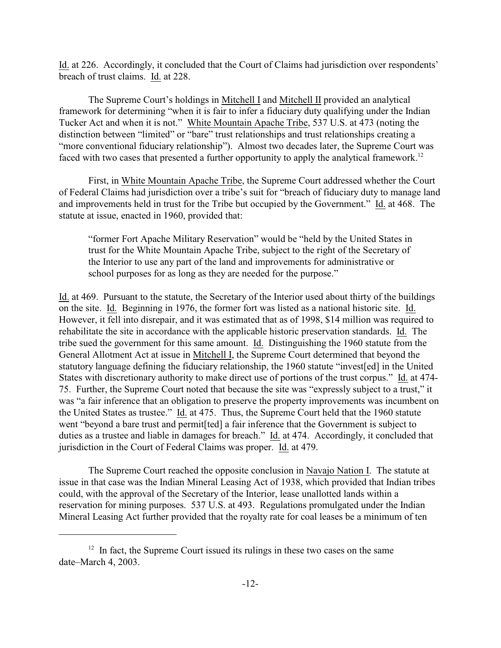Id. at 226. Accordingly, it concluded that the Court of Claims had jurisdiction over respondents' breach of trust claims. Id. at 228.

The Supreme Court's holdings in Mitchell I and Mitchell II provided an analytical framework for determining "when it is fair to infer a fiduciary duty qualifying under the Indian Tucker Act and when it is not." White Mountain Apache Tribe, 537 U.S. at 473 (noting the distinction between "limited" or "bare" trust relationships and trust relationships creating a "more conventional fiduciary relationship"). Almost two decades later, the Supreme Court was faced with two cases that presented a further opportunity to apply the analytical framework.<sup>12</sup>

First, in White Mountain Apache Tribe, the Supreme Court addressed whether the Court of Federal Claims had jurisdiction over a tribe's suit for "breach of fiduciary duty to manage land and improvements held in trust for the Tribe but occupied by the Government." Id. at 468. The statute at issue, enacted in 1960, provided that:

"former Fort Apache Military Reservation" would be "held by the United States in trust for the White Mountain Apache Tribe, subject to the right of the Secretary of the Interior to use any part of the land and improvements for administrative or school purposes for as long as they are needed for the purpose."

Id. at 469. Pursuant to the statute, the Secretary of the Interior used about thirty of the buildings on the site. Id. Beginning in 1976, the former fort was listed as a national historic site. Id. However, it fell into disrepair, and it was estimated that as of 1998, \$14 million was required to rehabilitate the site in accordance with the applicable historic preservation standards. Id. The tribe sued the government for this same amount. Id. Distinguishing the 1960 statute from the General Allotment Act at issue in Mitchell I, the Supreme Court determined that beyond the statutory language defining the fiduciary relationship, the 1960 statute "invest[ed] in the United States with discretionary authority to make direct use of portions of the trust corpus." Id. at 474- 75. Further, the Supreme Court noted that because the site was "expressly subject to a trust," it was "a fair inference that an obligation to preserve the property improvements was incumbent on the United States as trustee." Id. at 475. Thus, the Supreme Court held that the 1960 statute went "beyond a bare trust and permit[ted] a fair inference that the Government is subject to duties as a trustee and liable in damages for breach." Id. at 474. Accordingly, it concluded that jurisdiction in the Court of Federal Claims was proper. Id. at 479.

The Supreme Court reached the opposite conclusion in Navajo Nation I. The statute at issue in that case was the Indian Mineral Leasing Act of 1938, which provided that Indian tribes could, with the approval of the Secretary of the Interior, lease unallotted lands within a reservation for mining purposes. 537 U.S. at 493. Regulations promulgated under the Indian Mineral Leasing Act further provided that the royalty rate for coal leases be a minimum of ten

 $12$  In fact, the Supreme Court issued its rulings in these two cases on the same date–March 4, 2003.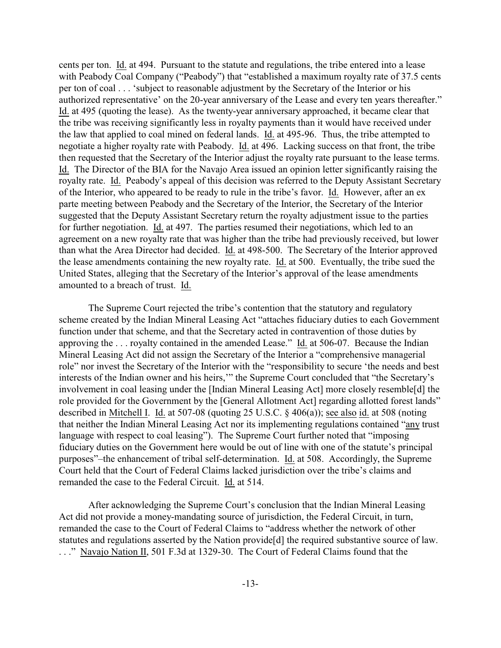cents per ton. Id. at 494. Pursuant to the statute and regulations, the tribe entered into a lease with Peabody Coal Company ("Peabody") that "established a maximum royalty rate of 37.5 cents per ton of coal . . . 'subject to reasonable adjustment by the Secretary of the Interior or his authorized representative' on the 20-year anniversary of the Lease and every ten years thereafter." Id. at 495 (quoting the lease). As the twenty-year anniversary approached, it became clear that the tribe was receiving significantly less in royalty payments than it would have received under the law that applied to coal mined on federal lands. Id. at 495-96. Thus, the tribe attempted to negotiate a higher royalty rate with Peabody. Id. at 496. Lacking success on that front, the tribe then requested that the Secretary of the Interior adjust the royalty rate pursuant to the lease terms. Id. The Director of the BIA for the Navajo Area issued an opinion letter significantly raising the royalty rate. Id. Peabody's appeal of this decision was referred to the Deputy Assistant Secretary of the Interior, who appeared to be ready to rule in the tribe's favor. Id. However, after an ex parte meeting between Peabody and the Secretary of the Interior, the Secretary of the Interior suggested that the Deputy Assistant Secretary return the royalty adjustment issue to the parties for further negotiation. Id. at 497. The parties resumed their negotiations, which led to an agreement on a new royalty rate that was higher than the tribe had previously received, but lower than what the Area Director had decided. Id. at 498-500. The Secretary of the Interior approved the lease amendments containing the new royalty rate. Id. at 500. Eventually, the tribe sued the United States, alleging that the Secretary of the Interior's approval of the lease amendments amounted to a breach of trust. Id.

The Supreme Court rejected the tribe's contention that the statutory and regulatory scheme created by the Indian Mineral Leasing Act "attaches fiduciary duties to each Government function under that scheme, and that the Secretary acted in contravention of those duties by approving the . . . royalty contained in the amended Lease." Id. at 506-07. Because the Indian Mineral Leasing Act did not assign the Secretary of the Interior a "comprehensive managerial role" nor invest the Secretary of the Interior with the "responsibility to secure 'the needs and best interests of the Indian owner and his heirs,'" the Supreme Court concluded that "the Secretary's involvement in coal leasing under the [Indian Mineral Leasing Act] more closely resemble[d] the role provided for the Government by the [General Allotment Act] regarding allotted forest lands" described in Mitchell I. Id. at 507-08 (quoting 25 U.S.C. § 406(a)); see also id. at 508 (noting that neither the Indian Mineral Leasing Act nor its implementing regulations contained "any trust language with respect to coal leasing"). The Supreme Court further noted that "imposing fiduciary duties on the Government here would be out of line with one of the statute's principal purposes"–the enhancement of tribal self-determination. Id. at 508. Accordingly, the Supreme Court held that the Court of Federal Claims lacked jurisdiction over the tribe's claims and remanded the case to the Federal Circuit. Id. at 514.

After acknowledging the Supreme Court's conclusion that the Indian Mineral Leasing Act did not provide a money-mandating source of jurisdiction, the Federal Circuit, in turn, remanded the case to the Court of Federal Claims to "address whether the network of other statutes and regulations asserted by the Nation provide[d] the required substantive source of law. . . ." Navajo Nation II, 501 F.3d at 1329-30. The Court of Federal Claims found that the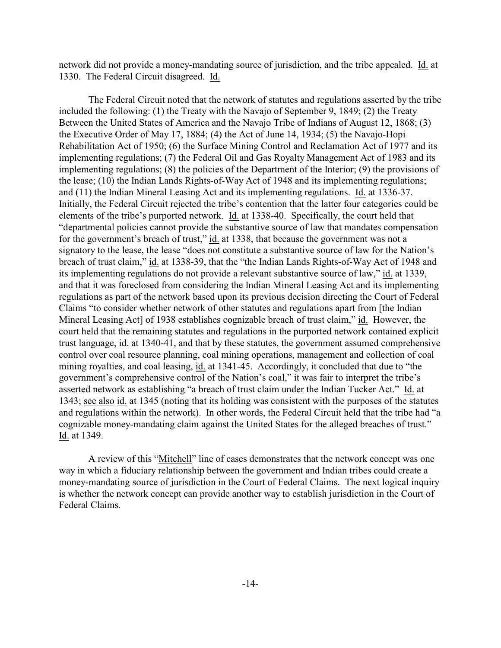network did not provide a money-mandating source of jurisdiction, and the tribe appealed. Id. at 1330. The Federal Circuit disagreed. Id.

The Federal Circuit noted that the network of statutes and regulations asserted by the tribe included the following: (1) the Treaty with the Navajo of September 9, 1849; (2) the Treaty Between the United States of America and the Navajo Tribe of Indians of August 12, 1868; (3) the Executive Order of May 17, 1884; (4) the Act of June 14, 1934; (5) the Navajo-Hopi Rehabilitation Act of 1950; (6) the Surface Mining Control and Reclamation Act of 1977 and its implementing regulations; (7) the Federal Oil and Gas Royalty Management Act of 1983 and its implementing regulations; (8) the policies of the Department of the Interior; (9) the provisions of the lease; (10) the Indian Lands Rights-of-Way Act of 1948 and its implementing regulations; and (11) the Indian Mineral Leasing Act and its implementing regulations. Id. at 1336-37. Initially, the Federal Circuit rejected the tribe's contention that the latter four categories could be elements of the tribe's purported network. Id. at 1338-40. Specifically, the court held that "departmental policies cannot provide the substantive source of law that mandates compensation for the government's breach of trust," id. at 1338, that because the government was not a signatory to the lease, the lease "does not constitute a substantive source of law for the Nation's breach of trust claim," id. at 1338-39, that the "the Indian Lands Rights-of-Way Act of 1948 and its implementing regulations do not provide a relevant substantive source of law," id. at 1339, and that it was foreclosed from considering the Indian Mineral Leasing Act and its implementing regulations as part of the network based upon its previous decision directing the Court of Federal Claims "to consider whether network of other statutes and regulations apart from [the Indian Mineral Leasing Act] of 1938 establishes cognizable breach of trust claim," id. However, the court held that the remaining statutes and regulations in the purported network contained explicit trust language, id. at 1340-41, and that by these statutes, the government assumed comprehensive control over coal resource planning, coal mining operations, management and collection of coal mining royalties, and coal leasing, id. at 1341-45. Accordingly, it concluded that due to "the government's comprehensive control of the Nation's coal," it was fair to interpret the tribe's asserted network as establishing "a breach of trust claim under the Indian Tucker Act." Id. at 1343; see also id. at 1345 (noting that its holding was consistent with the purposes of the statutes and regulations within the network). In other words, the Federal Circuit held that the tribe had "a cognizable money-mandating claim against the United States for the alleged breaches of trust." Id. at 1349.

A review of this "Mitchell" line of cases demonstrates that the network concept was one way in which a fiduciary relationship between the government and Indian tribes could create a money-mandating source of jurisdiction in the Court of Federal Claims. The next logical inquiry is whether the network concept can provide another way to establish jurisdiction in the Court of Federal Claims.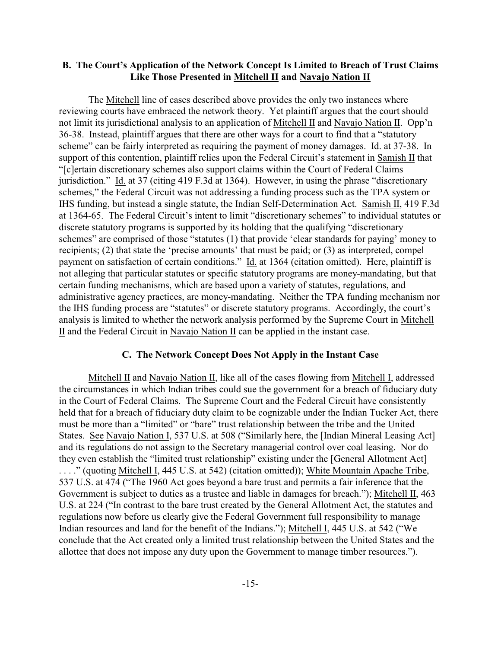# **B. The Court's Application of the Network Concept Is Limited to Breach of Trust Claims Like Those Presented in Mitchell II and Navajo Nation II**

The Mitchell line of cases described above provides the only two instances where reviewing courts have embraced the network theory. Yet plaintiff argues that the court should not limit its jurisdictional analysis to an application of Mitchell II and Navajo Nation II. Opp'n 36-38. Instead, plaintiff argues that there are other ways for a court to find that a "statutory scheme" can be fairly interpreted as requiring the payment of money damages. Id. at 37-38. In support of this contention, plaintiff relies upon the Federal Circuit's statement in Samish II that "[c]ertain discretionary schemes also support claims within the Court of Federal Claims jurisdiction." Id. at 37 (citing 419 F.3d at 1364). However, in using the phrase "discretionary schemes," the Federal Circuit was not addressing a funding process such as the TPA system or IHS funding, but instead a single statute, the Indian Self-Determination Act. Samish II, 419 F.3d at 1364-65. The Federal Circuit's intent to limit "discretionary schemes" to individual statutes or discrete statutory programs is supported by its holding that the qualifying "discretionary schemes" are comprised of those "statutes (1) that provide 'clear standards for paying' money to recipients; (2) that state the 'precise amounts' that must be paid; or (3) as interpreted, compel payment on satisfaction of certain conditions." Id. at 1364 (citation omitted). Here, plaintiff is not alleging that particular statutes or specific statutory programs are money-mandating, but that certain funding mechanisms, which are based upon a variety of statutes, regulations, and administrative agency practices, are money-mandating. Neither the TPA funding mechanism nor the IHS funding process are "statutes" or discrete statutory programs. Accordingly, the court's analysis is limited to whether the network analysis performed by the Supreme Court in Mitchell II and the Federal Circuit in Navajo Nation II can be applied in the instant case.

#### **C. The Network Concept Does Not Apply in the Instant Case**

Mitchell II and Navajo Nation II, like all of the cases flowing from Mitchell I, addressed the circumstances in which Indian tribes could sue the government for a breach of fiduciary duty in the Court of Federal Claims. The Supreme Court and the Federal Circuit have consistently held that for a breach of fiduciary duty claim to be cognizable under the Indian Tucker Act, there must be more than a "limited" or "bare" trust relationship between the tribe and the United States. See Navajo Nation I, 537 U.S. at 508 ("Similarly here, the [Indian Mineral Leasing Act] and its regulations do not assign to the Secretary managerial control over coal leasing. Nor do they even establish the "limited trust relationship" existing under the [General Allotment Act] . . . ." (quoting Mitchell I, 445 U.S. at 542) (citation omitted)); White Mountain Apache Tribe, 537 U.S. at 474 ("The 1960 Act goes beyond a bare trust and permits a fair inference that the Government is subject to duties as a trustee and liable in damages for breach."); Mitchell II, 463 U.S. at 224 ("In contrast to the bare trust created by the General Allotment Act, the statutes and regulations now before us clearly give the Federal Government full responsibility to manage Indian resources and land for the benefit of the Indians."); Mitchell I, 445 U.S. at 542 ("We conclude that the Act created only a limited trust relationship between the United States and the allottee that does not impose any duty upon the Government to manage timber resources.").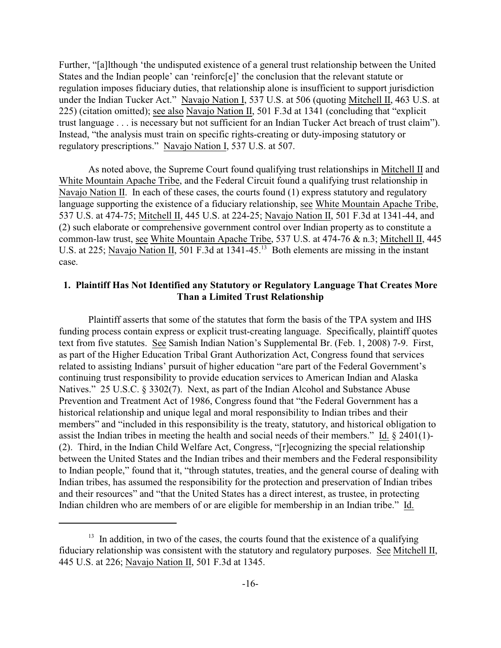Further, "[a]lthough 'the undisputed existence of a general trust relationship between the United States and the Indian people' can 'reinforc[e]' the conclusion that the relevant statute or regulation imposes fiduciary duties, that relationship alone is insufficient to support jurisdiction under the Indian Tucker Act." Navajo Nation I, 537 U.S. at 506 (quoting Mitchell II, 463 U.S. at 225) (citation omitted); see also Navajo Nation II, 501 F.3d at 1341 (concluding that "explicit trust language . . . is necessary but not sufficient for an Indian Tucker Act breach of trust claim"). Instead, "the analysis must train on specific rights-creating or duty-imposing statutory or regulatory prescriptions." Navajo Nation I, 537 U.S. at 507.

As noted above, the Supreme Court found qualifying trust relationships in Mitchell II and White Mountain Apache Tribe, and the Federal Circuit found a qualifying trust relationship in Navajo Nation II. In each of these cases, the courts found (1) express statutory and regulatory language supporting the existence of a fiduciary relationship, see White Mountain Apache Tribe, 537 U.S. at 474-75; Mitchell II, 445 U.S. at 224-25; Navajo Nation II, 501 F.3d at 1341-44, and (2) such elaborate or comprehensive government control over Indian property as to constitute a common-law trust, see White Mountain Apache Tribe, 537 U.S. at 474-76 & n.3; Mitchell II, 445 U.S. at 225; Navajo Nation II, 501 F.3d at  $1341-45$ <sup>13</sup> Both elements are missing in the instant case.

# **1. Plaintiff Has Not Identified any Statutory or Regulatory Language That Creates More Than a Limited Trust Relationship**

Plaintiff asserts that some of the statutes that form the basis of the TPA system and IHS funding process contain express or explicit trust-creating language. Specifically, plaintiff quotes text from five statutes. See Samish Indian Nation's Supplemental Br. (Feb. 1, 2008) 7-9. First, as part of the Higher Education Tribal Grant Authorization Act, Congress found that services related to assisting Indians' pursuit of higher education "are part of the Federal Government's continuing trust responsibility to provide education services to American Indian and Alaska Natives." 25 U.S.C. § 3302(7). Next, as part of the Indian Alcohol and Substance Abuse Prevention and Treatment Act of 1986, Congress found that "the Federal Government has a historical relationship and unique legal and moral responsibility to Indian tribes and their members" and "included in this responsibility is the treaty, statutory, and historical obligation to assist the Indian tribes in meeting the health and social needs of their members." Id. § 2401(1)- (2). Third, in the Indian Child Welfare Act, Congress, "[r]ecognizing the special relationship between the United States and the Indian tribes and their members and the Federal responsibility to Indian people," found that it, "through statutes, treaties, and the general course of dealing with Indian tribes, has assumed the responsibility for the protection and preservation of Indian tribes and their resources" and "that the United States has a direct interest, as trustee, in protecting Indian children who are members of or are eligible for membership in an Indian tribe." Id.

 $13$  In addition, in two of the cases, the courts found that the existence of a qualifying fiduciary relationship was consistent with the statutory and regulatory purposes. See Mitchell II, 445 U.S. at 226; Navajo Nation II, 501 F.3d at 1345.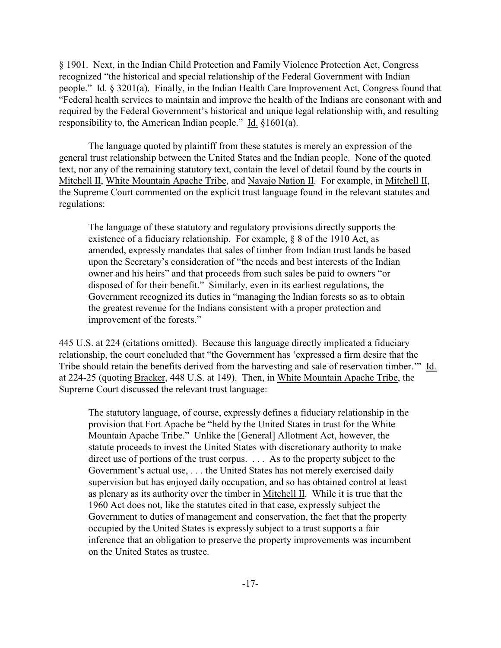§ 1901. Next, in the Indian Child Protection and Family Violence Protection Act, Congress recognized "the historical and special relationship of the Federal Government with Indian people." Id. § 3201(a). Finally, in the Indian Health Care Improvement Act, Congress found that "Federal health services to maintain and improve the health of the Indians are consonant with and required by the Federal Government's historical and unique legal relationship with, and resulting responsibility to, the American Indian people." Id. §1601(a).

The language quoted by plaintiff from these statutes is merely an expression of the general trust relationship between the United States and the Indian people. None of the quoted text, nor any of the remaining statutory text, contain the level of detail found by the courts in Mitchell II, White Mountain Apache Tribe, and Navajo Nation II. For example, in Mitchell II, the Supreme Court commented on the explicit trust language found in the relevant statutes and regulations:

The language of these statutory and regulatory provisions directly supports the existence of a fiduciary relationship. For example, § 8 of the 1910 Act, as amended, expressly mandates that sales of timber from Indian trust lands be based upon the Secretary's consideration of "the needs and best interests of the Indian owner and his heirs" and that proceeds from such sales be paid to owners "or disposed of for their benefit." Similarly, even in its earliest regulations, the Government recognized its duties in "managing the Indian forests so as to obtain the greatest revenue for the Indians consistent with a proper protection and improvement of the forests."

445 U.S. at 224 (citations omitted). Because this language directly implicated a fiduciary relationship, the court concluded that "the Government has 'expressed a firm desire that the Tribe should retain the benefits derived from the harvesting and sale of reservation timber.'" Id. at 224-25 (quoting Bracker, 448 U.S. at 149). Then, in White Mountain Apache Tribe, the Supreme Court discussed the relevant trust language:

The statutory language, of course, expressly defines a fiduciary relationship in the provision that Fort Apache be "held by the United States in trust for the White Mountain Apache Tribe." Unlike the [General] Allotment Act, however, the statute proceeds to invest the United States with discretionary authority to make direct use of portions of the trust corpus. . . . As to the property subject to the Government's actual use, . . . the United States has not merely exercised daily supervision but has enjoyed daily occupation, and so has obtained control at least as plenary as its authority over the timber in Mitchell II. While it is true that the 1960 Act does not, like the statutes cited in that case, expressly subject the Government to duties of management and conservation, the fact that the property occupied by the United States is expressly subject to a trust supports a fair inference that an obligation to preserve the property improvements was incumbent on the United States as trustee.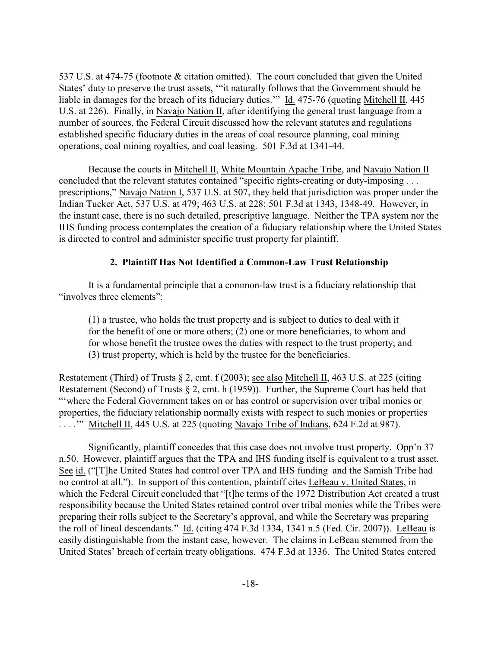537 U.S. at 474-75 (footnote & citation omitted). The court concluded that given the United States' duty to preserve the trust assets, '"it naturally follows that the Government should be liable in damages for the breach of its fiduciary duties.'" Id. 475-76 (quoting Mitchell II, 445 U.S. at 226). Finally, in Navajo Nation II, after identifying the general trust language from a number of sources, the Federal Circuit discussed how the relevant statutes and regulations established specific fiduciary duties in the areas of coal resource planning, coal mining operations, coal mining royalties, and coal leasing. 501 F.3d at 1341-44.

Because the courts in Mitchell II, White Mountain Apache Tribe, and Navajo Nation II concluded that the relevant statutes contained "specific rights-creating or duty-imposing . . . prescriptions," Navajo Nation I, 537 U.S. at 507, they held that jurisdiction was proper under the Indian Tucker Act, 537 U.S. at 479; 463 U.S. at 228; 501 F.3d at 1343, 1348-49. However, in the instant case, there is no such detailed, prescriptive language. Neither the TPA system nor the IHS funding process contemplates the creation of a fiduciary relationship where the United States is directed to control and administer specific trust property for plaintiff.

# **2. Plaintiff Has Not Identified a Common-Law Trust Relationship**

It is a fundamental principle that a common-law trust is a fiduciary relationship that "involves three elements":

(1) a trustee, who holds the trust property and is subject to duties to deal with it for the benefit of one or more others; (2) one or more beneficiaries, to whom and for whose benefit the trustee owes the duties with respect to the trust property; and (3) trust property, which is held by the trustee for the beneficiaries.

Restatement (Third) of Trusts § 2, cmt. f (2003); see also Mitchell II, 463 U.S. at 225 (citing Restatement (Second) of Trusts § 2, cmt. h (1959)). Further, the Supreme Court has held that "'where the Federal Government takes on or has control or supervision over tribal monies or properties, the fiduciary relationship normally exists with respect to such monies or properties . . . .'" Mitchell II, 445 U.S. at 225 (quoting Navajo Tribe of Indians, 624 F.2d at 987).

Significantly, plaintiff concedes that this case does not involve trust property. Opp'n 37 n.50. However, plaintiff argues that the TPA and IHS funding itself is equivalent to a trust asset. See id. ("[T]he United States had control over TPA and IHS funding–and the Samish Tribe had no control at all."). In support of this contention, plaintiff cites LeBeau v. United States, in which the Federal Circuit concluded that "[t]he terms of the 1972 Distribution Act created a trust responsibility because the United States retained control over tribal monies while the Tribes were preparing their rolls subject to the Secretary's approval, and while the Secretary was preparing the roll of lineal descendants." Id. (citing 474 F.3d 1334, 1341 n.5 (Fed. Cir. 2007)). LeBeau is easily distinguishable from the instant case, however. The claims in LeBeau stemmed from the United States' breach of certain treaty obligations. 474 F.3d at 1336. The United States entered